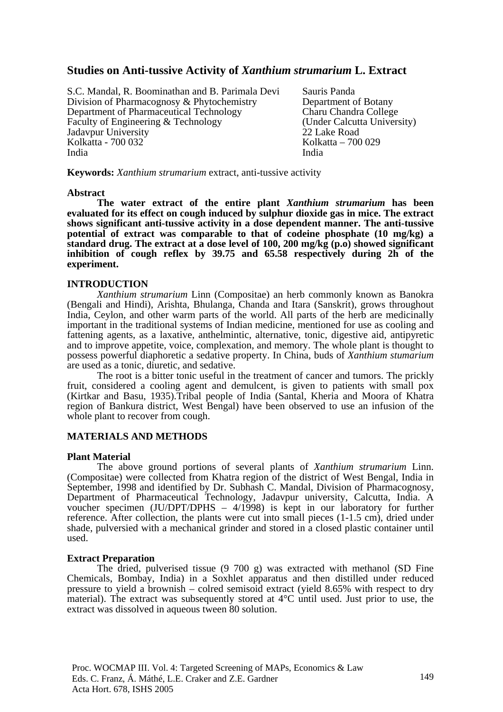## **Studies on Anti-tussive Activity of** *Xanthium strumarium* **L. Extract**

S.C. Mandal, R. Boominathan and B. Parimala Devi Division of Pharmacognosy & Phytochemistry Department of Pharmaceutical Technology Faculty of Engineering & Technology Jadavpur University Kolkatta - 700 032 India

Sauris Panda Department of Botany Charu Chandra College (Under Calcutta University) 22 Lake Road Kolkatta – 700 029 India

**Keywords:** *Xanthium strumarium* extract, anti-tussive activity

#### **Abstract**

**The water extract of the entire plant** *Xanthium strumarium* **has been evaluated for its effect on cough induced by sulphur dioxide gas in mice. The extract shows significant anti-tussive activity in a dose dependent manner. The anti-tussive potential of extract was comparable to that of codeine phosphate (10 mg/kg) a standard drug. The extract at a dose level of 100, 200 mg/kg (p.o) showed significant inhibition of cough reflex by 39.75 and 65.58 respectively during 2h of the experiment.** 

#### **INTRODUCTION**

*Xanthium strumarium* Linn (Compositae) an herb commonly known as Banokra (Bengali and Hindi), Arishta, Bhulanga, Chanda and Itara (Sanskrit), grows throughout India, Ceylon, and other warm parts of the world. All parts of the herb are medicinally important in the traditional systems of Indian medicine, mentioned for use as cooling and fattening agents, as a laxative, anthelmintic, alternative, tonic, digestive aid, antipyretic and to improve appetite, voice, complexation, and memory. The whole plant is thought to possess powerful diaphoretic a sedative property. In China, buds of *Xanthium stumarium* are used as a tonic, diuretic, and sedative.

The root is a bitter tonic useful in the treatment of cancer and tumors. The prickly fruit, considered a cooling agent and demulcent, is given to patients with small pox (Kirtkar and Basu, 1935).Tribal people of India (Santal, Kheria and Moora of Khatra region of Bankura district, West Bengal) have been observed to use an infusion of the whole plant to recover from cough.

## **MATERIALS AND METHODS**

## **Plant Material**

The above ground portions of several plants of *Xanthium strumarium* Linn. (Compositae) were collected from Khatra region of the district of West Bengal, India in September, 1998 and identified by Dr. Subhash C. Mandal, Division of Pharmacognosy, Department of Pharmaceutical Technology, Jadavpur university, Calcutta, India. A voucher specimen (JU/DPT/DPHS – 4/1998) is kept in our laboratory for further reference. After collection, the plants were cut into small pieces (1-1.5 cm), dried under shade, pulversied with a mechanical grinder and stored in a closed plastic container until used.

## **Extract Preparation**

The dried, pulverised tissue (9 700 g) was extracted with methanol (SD Fine Chemicals, Bombay, India) in a Soxhlet apparatus and then distilled under reduced pressure to yield a brownish – colred semisoid extract (yield 8.65% with respect to dry material). The extract was subsequently stored at 4°C until used. Just prior to use, the extract was dissolved in aqueous tween 80 solution.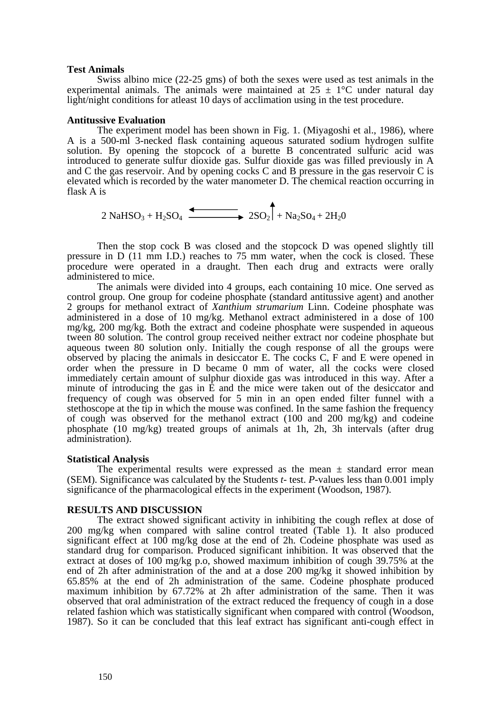#### **Test Animals**

Swiss albino mice (22-25 gms) of both the sexes were used as test animals in the experimental animals. The animals were maintained at  $25 \pm 1$ °C under natural day light/night conditions for atleast 10 days of acclimation using in the test procedure.

#### **Antitussive Evaluation**

The experiment model has been shown in Fig. 1. (Miyagoshi et al., 1986), where A is a 500-ml 3-necked flask containing aqueous saturated sodium hydrogen sulfite solution. By opening the stopcock of a burette B concentrated sulfuric acid was introduced to generate sulfur dioxide gas. Sulfur dioxide gas was filled previously in A and C the gas reservoir. And by opening cocks C and B pressure in the gas reservoir C is elevated which is recorded by the water manometer D. The chemical reaction occurring in flask A is

2 NaHSO<sub>3</sub> + H<sub>2</sub>SO<sub>4</sub>  $\xrightarrow{2SO_2}$  + Na<sub>2</sub>SO<sub>4</sub> + 2H<sub>2</sub>0

Then the stop cock B was closed and the stopcock D was opened slightly till pressure in D (11 mm I.D.) reaches to 75 mm water, when the cock is closed. These procedure were operated in a draught. Then each drug and extracts were orally administered to mice.

The animals were divided into 4 groups, each containing 10 mice. One served as control group. One group for codeine phosphate (standard antitussive agent) and another 2 groups for methanol extract of *Xanthium strumarium* Linn. Codeine phosphate was administered in a dose of 10 mg/kg. Methanol extract administered in a dose of 100 mg/kg, 200 mg/kg. Both the extract and codeine phosphate were suspended in aqueous tween 80 solution. The control group received neither extract nor codeine phosphate but aqueous tween 80 solution only. Initially the cough response of all the groups were observed by placing the animals in desiccator E. The cocks C, F and E were opened in order when the pressure in D became 0 mm of water, all the cocks were closed immediately certain amount of sulphur dioxide gas was introduced in this way. After a minute of introducing the gas in E and the mice were taken out of the desiccator and frequency of cough was observed for 5 min in an open ended filter funnel with a stethoscope at the tip in which the mouse was confined. In the same fashion the frequency of cough was observed for the methanol extract (100 and 200 mg/kg) and codeine phosphate (10 mg/kg) treated groups of animals at 1h, 2h, 3h intervals (after drug administration).

#### **Statistical Analysis**

The experimental results were expressed as the mean  $\pm$  standard error mean (SEM). Significance was calculated by the Students *t*- test. *P*-values less than 0.001 imply significance of the pharmacological effects in the experiment (Woodson, 1987).

## **RESULTS AND DISCUSSION**

The extract showed significant activity in inhibiting the cough reflex at dose of 200 mg/kg when compared with saline control treated (Table 1). It also produced significant effect at 100 mg/kg dose at the end of 2h. Codeine phosphate was used as standard drug for comparison. Produced significant inhibition. It was observed that the extract at doses of 100 mg/kg p.o, showed maximum inhibition of cough 39.75% at the end of 2h after administration of the and at a dose 200 mg/kg it showed inhibition by 65.85% at the end of 2h administration of the same. Codeine phosphate produced maximum inhibition by 67.72% at 2h after administration of the same. Then it was observed that oral administration of the extract reduced the frequency of cough in a dose related fashion which was statistically significant when compared with control (Woodson, 1987). So it can be concluded that this leaf extract has significant anti-cough effect in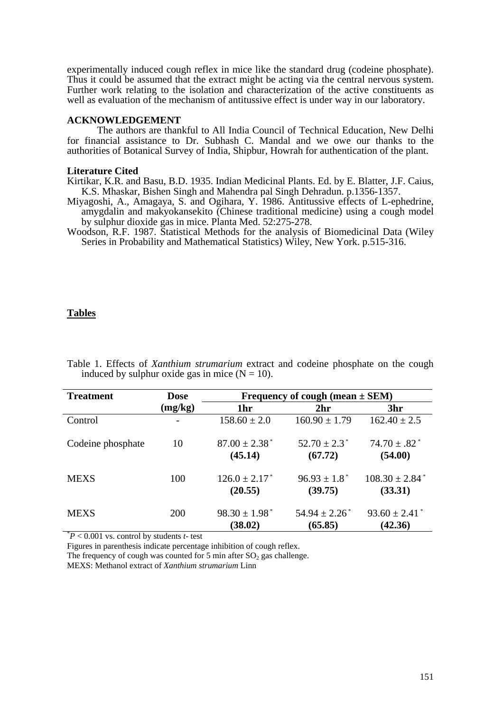experimentally induced cough reflex in mice like the standard drug (codeine phosphate). Thus it could be assumed that the extract might be acting via the central nervous system. Further work relating to the isolation and characterization of the active constituents as well as evaluation of the mechanism of antitussive effect is under way in our laboratory.

#### **ACKNOWLEDGEMENT**

The authors are thankful to All India Council of Technical Education, New Delhi for financial assistance to Dr. Subhash C. Mandal and we owe our thanks to the authorities of Botanical Survey of India, Shipbur, Howrah for authentication of the plant.

### **Literature Cited**

Kirtikar, K.R. and Basu, B.D. 1935. Indian Medicinal Plants. Ed. by E. Blatter, J.F. Caius, K.S. Mhaskar, Bishen Singh and Mahendra pal Singh Dehradun. p.1356-1357.

- Miyagoshi, A., Amagaya, S. and Ogihara, Y. 1986. Antitussive effects of L-ephedrine, amygdalin and makyokansekito (Chinese traditional medicine) using a cough model by sulphur dioxide gas in mice. Planta Med. 52:275-278.
- Woodson, R.F. 1987. Statistical Methods for the analysis of Biomedicinal Data (Wiley Series in Probability and Mathematical Statistics) Wiley, New York. p.515-316.

## **Tables**

| <b>Treatment</b>  | <b>Dose</b> | Frequency of cough (mean $\pm$ SEM)      |                                          |                                           |
|-------------------|-------------|------------------------------------------|------------------------------------------|-------------------------------------------|
|                   | (mg/kg)     | 1hr                                      | 2 <sub>hr</sub>                          | 3hr                                       |
| Control           |             | $158.60 \pm 2.0$                         | $160.90 \pm 1.79$                        | $162.40 \pm 2.5$                          |
| Codeine phosphate | 10          | $87.00 \pm 2.38^*$<br>(45.14)            | $52.70 \pm 2.3$ <sup>*</sup><br>(67.72)  | $74.70 \pm .82$ <sup>*</sup><br>(54.00)   |
| <b>MEXS</b>       | 100         | $126.0 \pm 2.17$ <sup>*</sup><br>(20.55) | $96.93 \pm 1.8^*$<br>(39.75)             | $108.30 \pm 2.84$ <sup>*</sup><br>(33.31) |
| <b>MEXS</b>       | 200         | $98.30 \pm 1.98$ <sup>*</sup><br>(38.02) | $54.94 \pm 2.26$ <sup>*</sup><br>(65.85) | $93.60 \pm 2.41$<br>(42.36)               |

Table 1. Effects of *Xanthium strumarium* extract and codeine phosphate on the cough induced by sulphur oxide gas in mice  $(N = 10)$ .

 $*P < 0.001$  vs. control by students *t*- test

Figures in parenthesis indicate percentage inhibition of cough reflex.

The frequency of cough was counted for 5 min after  $SO<sub>2</sub>$  gas challenge.

MEXS: Methanol extract of *Xanthium strumarium* Linn